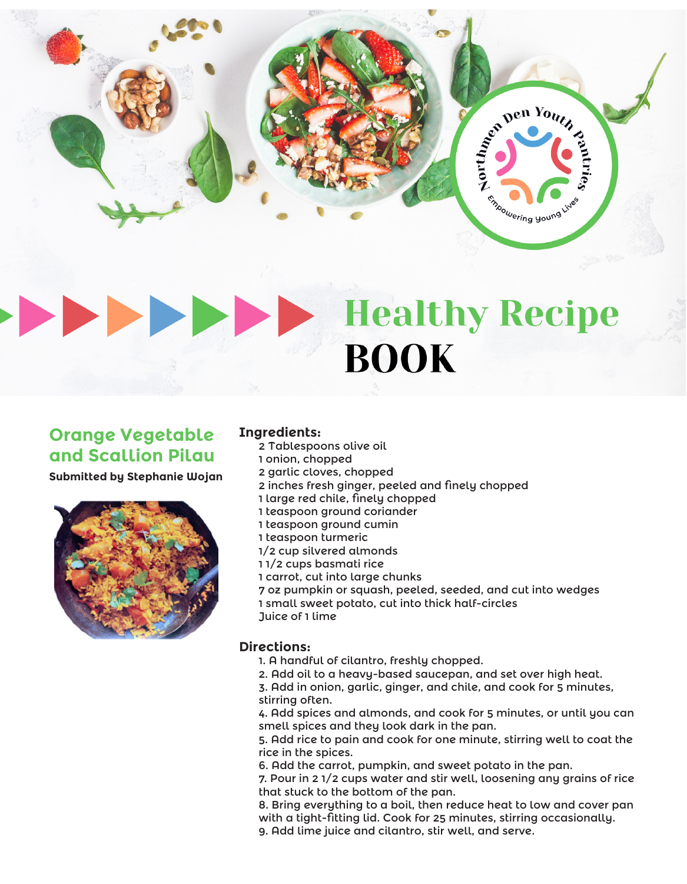

# **Healthy Recipe BOOK**

# **Orange Vegetable and Scallion Pilau**

**Submitted by Stephanie Wojan**



# **Ingredients:**

- 2 Tablespoons olive oil
- 1 onion, chopped
- 2 garlic cloves, chopped
- 2 inches fresh ginger, peeled and finely chopped
- 1 large red chile, finely chopped
- 1 teaspoon ground coriander
- 1 teaspoon ground cumin
- 1 teaspoon turmeric
- 1/2 cup silvered almonds
- 1 1/2 cups basmati rice
- 1 carrot, cut into large chunks
- 7 oz pumpkin or squash, peeled, seeded, and cut into wedges
- 1 small sweet potato, cut into thick half-circles Juice of 1 lime
- 

### **Directions:**

- 1. A handful of cilantro, freshly chopped.
- 2. Add oil to a heavy-based saucepan, and set over high heat.
- 3. Add in onion, garlic, ginger, and chile, and cook for 5 minutes, stirring often.

4. Add spices and almonds, and cook for 5 minutes, or until you can smell spices and they look dark in the pan.

5. Add rice to pain and cook for one minute, stirring well to coat the rice in the spices.

6. Add the carrot, pumpkin, and sweet potato in the pan.

7. Pour in 2 1/2 cups water and stir well, loosening any grains of rice that stuck to the bottom of the pan.

8. Bring everything to a boil, then reduce heat to low and cover pan with a tight-fitting lid. Cook for 25 minutes, stirring occasionally.

9. Add lime juice and cilantro, stir well, and serve.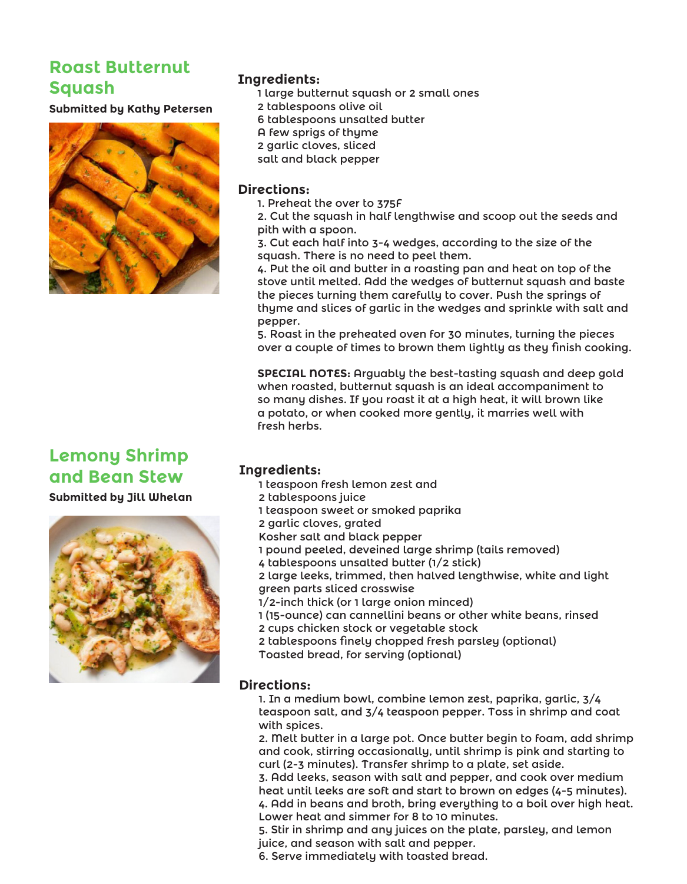# **Roast Butternut Squash**

**Submitted by Kathy Petersen**



# **Ingredients:**

- 1 large butternut squash or 2 small ones
- 2 tablespoons olive oil
- 6 tablespoons unsalted butter
- A few sprigs of thyme
- 2 garlic cloves, sliced
- salt and black pepper

### **Directions:**

- 1. Preheat the over to 375F
- 2. Cut the squash in half lengthwise and scoop out the seeds and pith with a spoon.
- 3. Cut each half into 3-4 wedges, according to the size of the squash. There is no need to peel them.
- 4. Put the oil and butter in a roasting pan and heat on top of the stove until melted. Add the wedges of butternut squash and baste the pieces turning them carefully to cover. Push the springs of thyme and slices of garlic in the wedges and sprinkle with salt and pepper.
- 5. Roast in the preheated oven for 30 minutes, turning the pieces over a couple of times to brown them lightly as they finish cooking.

**SPECIAL NOTES:** Arguably the best-tasting squash and deep gold when roasted, butternut squash is an ideal accompaniment to so many dishes. If you roast it at a high heat, it will brown like a potato, or when cooked more gently, it marries well with fresh herbs.

# **Lemony Shrimp and Bean Stew**

**Submitted by Jill Whelan**



# **Ingredients:**

- 1 teaspoon fresh lemon zest and
- 2 tablespoons juice
- 1 teaspoon sweet or smoked paprika
- 2 garlic cloves, grated
- Kosher salt and black pepper
- 1 pound peeled, deveined large shrimp (tails removed)
- 4 tablespoons unsalted butter (1/2 stick)
- 2 large leeks, trimmed, then halved lengthwise, white and light green parts sliced crosswise
- 1/2-inch thick (or 1 large onion minced)
- 1 (15-ounce) can cannellini beans or other white beans, rinsed
- 2 cups chicken stock or vegetable stock
- 2 tablespoons finely chopped fresh parsley (optional)
- Toasted bread, for serving (optional)

### **Directions:**

1. In a medium bowl, combine lemon zest, paprika, garlic, 3/4 teaspoon salt, and 3/4 teaspoon pepper. Toss in shrimp and coat with spices.

2. Melt butter in a large pot. Once butter begin to foam, add shrimp and cook, stirring occasionally, until shrimp is pink and starting to curl (2-3 minutes). Transfer shrimp to a plate, set aside.

3. Add leeks, season with salt and pepper, and cook over medium heat until leeks are soft and start to brown on edges (4-5 minutes). 4. Add in beans and broth, bring everything to a boil over high heat. Lower heat and simmer for 8 to 10 minutes.

5. Stir in shrimp and any juices on the plate, parsley, and lemon juice, and season with salt and pepper.

6. Serve immediately with toasted bread.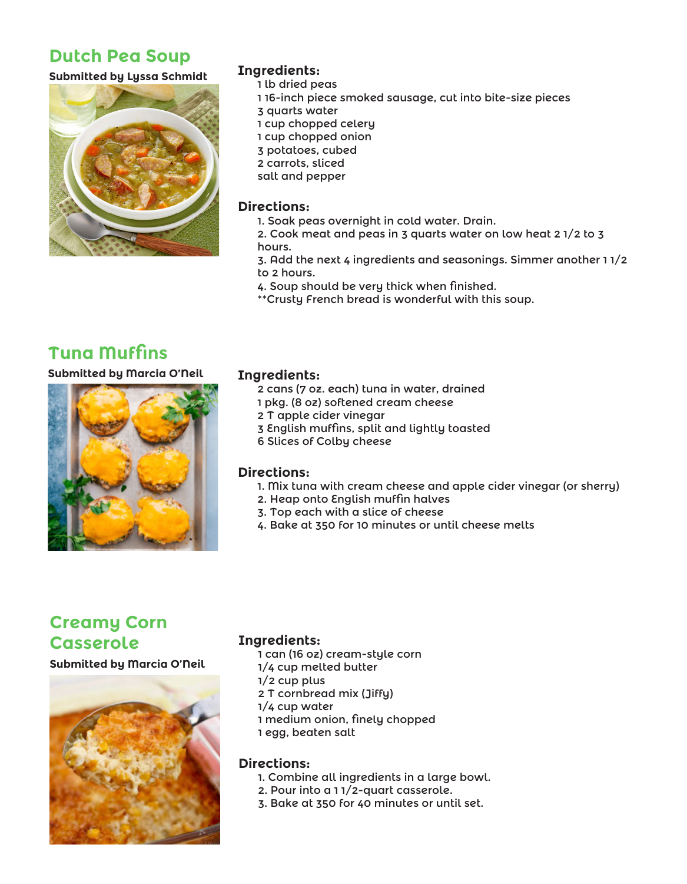# **Dutch Pea Soup**

### **Submitted by Lyssa Schmidt**



# **Ingredients:**

- 1 lb dried peas
- 1 16-inch piece smoked sausage, cut into bite-size pieces
- 3 quarts water
- 1 cup chopped celery
- 1 cup chopped onion
- 3 potatoes, cubed
- 2 carrots, sliced
- salt and pepper

### **Directions:**

- 1. Soak peas overnight in cold water. Drain.
- 2. Cook meat and peas in 3 quarts water on low heat 2 1/2 to 3 hours.
- 3. Add the next 4 ingredients and seasonings. Simmer another 1 1/2 to 2 hours.
- 4. Soup should be very thick when finished.
- \*\*Crusty French bread is wonderful with this soup.

# **Tuna Muffins**

**Submitted by Marcia O'Neil**



### **Ingredients:**

- 2 cans (7 oz. each) tuna in water, drained
- 1 pkg. (8 oz) softened cream cheese
- 2 T apple cider vinegar
- 3 English muffins, split and lightly toasted
- 6 Slices of Colby cheese

### **Directions:**

- 1. Mix tuna with cream cheese and apple cider vinegar (or sherry)
- 2. Heap onto English muffin halves
- 3. Top each with a slice of cheese
- 4. Bake at 350 for 10 minutes or until cheese melts

# **Creamy Corn Casserole**

**Submitted by Marcia O'Neil**



### **Ingredients:**

- 1 can (16 oz) cream-style corn
- 1/4 cup melted butter
- 1/2 cup plus
- 2 T cornbread mix (Jiffy)
- 1/4 cup water
- 1 medium onion, finely chopped
- 1 egg, beaten salt

### **Directions:**

- 1. Combine all ingredients in a large bowl.
- 2. Pour into a 1 1/2-quart casserole.
- 3. Bake at 350 for 40 minutes or until set.